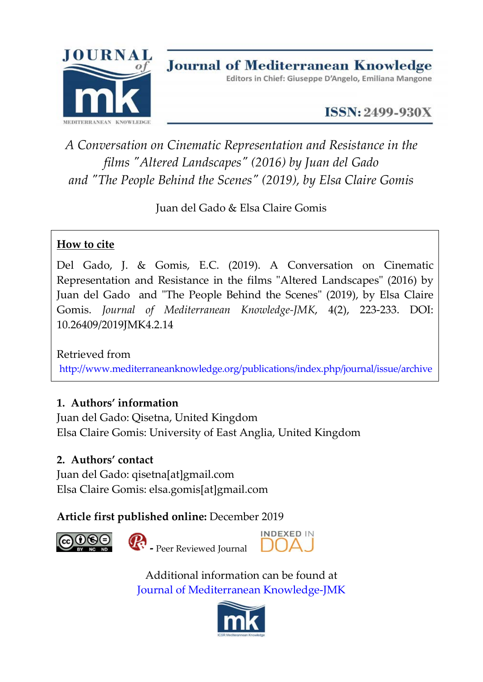

**ISSN: 2499-930X** 

# *A Conversation on Cinematic Representation and Resistance in the films "Altered Landscapes" (2016) by Juan del Gado and "The People Behind the Scenes" (2019), by Elsa Claire Gomis*

Juan del Gado & Elsa Claire Gomis

## **How to cite**

Del Gado, J. & Gomis, E.C. (2019). A Conversation on Cinematic Representation and Resistance in the films "Altered Landscapes" (2016) by Juan del Gado and "The People Behind the Scenes" (2019), by Elsa Claire Gomis. *Journal of Mediterranean Knowledge-JMK*, 4(2), 223-233. DOI: 10.26409/2019JMK4.2.14

Retrieved from <http://www.mediterraneanknowledge.org/publications/index.php/journal/issue/archive>

### **1. Authors' information**

Juan del Gado: Qisetna, United Kingdom Elsa Claire Gomis: University of East Anglia, United Kingdom

### **2. Authors' contact**

Juan del Gado: qisetna[at]gmail.com Elsa Claire Gomis: elsa.gomis[at]gmail.com

### **Article first published online:** December 2019





**Paradiscussion**<br>Peer Reviewed Journal



Additional information can be found at [Journal of Mediterranean Knowledge-JMK](http://www.mediterraneanknowledge.org/publications/index.php/journal/about)

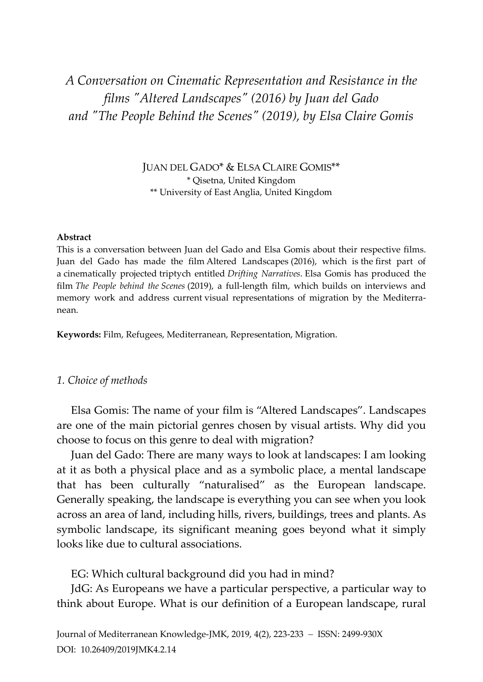# *A Conversation on Cinematic Representation and Resistance in the films "Altered Landscapes" (2016) by Juan del Gado and "The People Behind the Scenes" (2019), by Elsa Claire Gomis*

JUAN DEL GADO\* & ELSA CLAIRE GOMIS\*\* \* Qisetna, United Kingdom \*\* University of East Anglia, United Kingdom

#### **Abstract**

This is a conversation between Juan del Gado and Elsa Gomis about their respective films. Juan del Gado has made the film Altered Landscapes (2016), which is the first part of a cinematically projected triptych entitled *Drifting Narratives*. Elsa Gomis has produced the film *The People behind the Scenes* (2019), a full-length film, which builds on interviews and memory work and address current visual representations of migration by the Mediterranean.

**Keywords:** Film, Refugees, Mediterranean, Representation, Migration.

#### *1. Choice of methods*

Elsa Gomis: The name of your film is "Altered Landscapes". Landscapes are one of the main pictorial genres chosen by visual artists. Why did you choose to focus on this genre to deal with migration?

Juan del Gado: There are many ways to look at landscapes: I am looking at it as both a physical place and as a symbolic place, a mental landscape that has been culturally "naturalised" as the European landscape. Generally speaking, the landscape is everything you can see when you look across an area of land, including hills, rivers, buildings, trees and plants. As symbolic landscape, its significant meaning goes beyond what it simply looks like due to cultural associations.

EG: Which cultural background did you had in mind?

JdG: As Europeans we have a particular perspective, a particular way to think about Europe. What is our definition of a European landscape, rural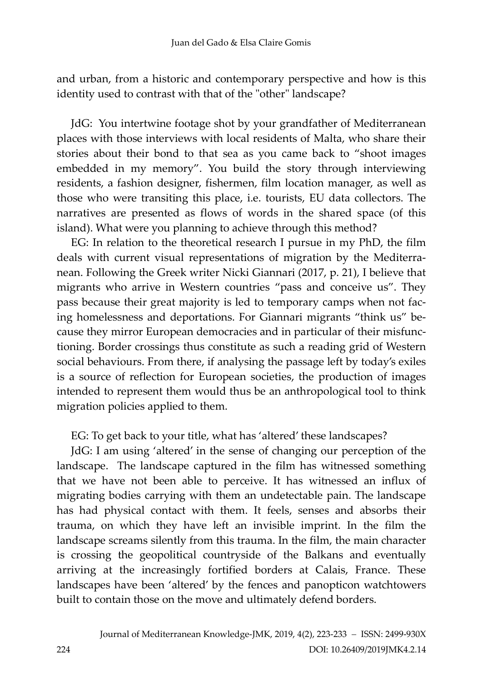and urban, from a historic and contemporary perspective and how is this identity used to contrast with that of the "other" landscape?

JdG: You intertwine footage shot by your grandfather of Mediterranean places with those interviews with local residents of Malta, who share their stories about their bond to that sea as you came back to "shoot images embedded in my memory". You build the story through interviewing residents, a fashion designer, fishermen, film location manager, as well as those who were transiting this place, i.e. tourists, EU data collectors. The narratives are presented as flows of words in the shared space (of this island). What were you planning to achieve through this method?

EG: In relation to the theoretical research I pursue in my PhD, the film deals with current visual representations of migration by the Mediterranean. Following the Greek writer Nicki Giannari (2017, p. 21), I believe that migrants who arrive in Western countries "pass and conceive us". They pass because their great majority is led to temporary camps when not facing homelessness and deportations. For Giannari migrants "think us" because they mirror European democracies and in particular of their misfunctioning. Border crossings thus constitute as such a reading grid of Western social behaviours. From there, if analysing the passage left by today's exiles is a source of reflection for European societies, the production of images intended to represent them would thus be an anthropological tool to think migration policies applied to them.

EG: To get back to your title, what has 'altered' these landscapes?

JdG: I am using 'altered' in the sense of changing our perception of the landscape. The landscape captured in the film has witnessed something that we have not been able to perceive. It has witnessed an influx of migrating bodies carrying with them an undetectable pain. The landscape has had physical contact with them. It feels, senses and absorbs their trauma, on which they have left an invisible imprint. In the film the landscape screams silently from this trauma. In the film, the main character is crossing the geopolitical countryside of the Balkans and eventually arriving at the increasingly fortified borders at Calais, France. These landscapes have been 'altered' by the fences and panopticon watchtowers built to contain those on the move and ultimately defend borders.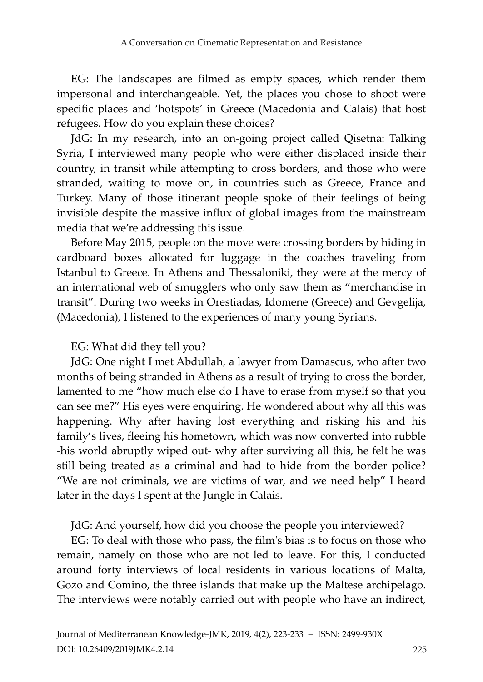EG: The landscapes are filmed as empty spaces, which render them impersonal and interchangeable. Yet, the places you chose to shoot were specific places and 'hotspots' in Greece (Macedonia and Calais) that host refugees. How do you explain these choices?

JdG: In my research, into an on-going project called Qisetna: Talking Syria, I interviewed many people who were either displaced inside their country, in transit while attempting to cross borders, and those who were stranded, waiting to move on, in countries such as Greece, France and Turkey. Many of those itinerant people spoke of their feelings of being invisible despite the massive influx of global images from the mainstream media that we're addressing this issue.

Before May 2015, people on the move were crossing borders by hiding in cardboard boxes allocated for luggage in the coaches traveling from Istanbul to Greece. In Athens and Thessaloniki, they were at the mercy of an international web of smugglers who only saw them as "merchandise in transit". During two weeks in Orestiadas, Idomene (Greece) and Gevgelija, (Macedonia), I listened to the experiences of many young Syrians.

#### EG: What did they tell you?

JdG: One night I met Abdullah, a lawyer from Damascus, who after two months of being stranded in Athens as a result of trying to cross the border, lamented to me "how much else do I have to erase from myself so that you can see me?" His eyes were enquiring. He wondered about why all this was happening. Why after having lost everything and risking his and his family's lives, fleeing his hometown, which was now converted into rubble -his world abruptly wiped out- why after surviving all this, he felt he was still being treated as a criminal and had to hide from the border police? "We are not criminals, we are victims of war, and we need help" I heard later in the days I spent at the Jungle in Calais.

JdG: And yourself, how did you choose the people you interviewed?

EG: To deal with those who pass, the film's bias is to focus on those who remain, namely on those who are not led to leave. For this, I conducted around forty interviews of local residents in various locations of Malta, Gozo and Comino, the three islands that make up the Maltese archipelago. The interviews were notably carried out with people who have an indirect,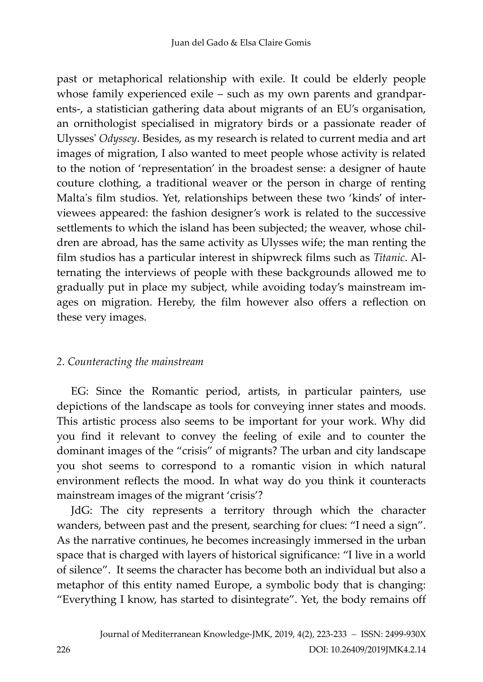past or metaphorical relationship with exile. It could be elderly people whose family experienced exile – such as my own parents and grandparents-, a statistician gathering data about migrants of an EU's organisation, an ornithologist specialised in migratory birds or a passionate reader of Ulysses' *Odyssey*. Besides, as my research is related to current media and art images of migration, I also wanted to meet people whose activity is related to the notion of 'representation' in the broadest sense: a designer of haute couture clothing, a traditional weaver or the person in charge of renting Malta's film studios. Yet, relationships between these two 'kinds' of interviewees appeared: the fashion designer's work is related to the successive settlements to which the island has been subjected; the weaver, whose children are abroad, has the same activity as Ulysses wife; the man renting the film studios has a particular interest in shipwreck films such as *Titanic*. Alternating the interviews of people with these backgrounds allowed me to gradually put in place my subject, while avoiding today's mainstream images on migration. Hereby, the film however also offers a reflection on these very images.

#### *2. Counteracting the mainstream*

EG: Since the Romantic period, artists, in particular painters, use depictions of the landscape as tools for conveying inner states and moods. This artistic process also seems to be important for your work. Why did you find it relevant to convey the feeling of exile and to counter the dominant images of the "crisis" of migrants? The urban and city landscape you shot seems to correspond to a romantic vision in which natural environment reflects the mood. In what way do you think it counteracts mainstream images of the migrant 'crisis'?

JdG: The city represents a territory through which the character wanders, between past and the present, searching for clues: "I need a sign". As the narrative continues, he becomes increasingly immersed in the urban space that is charged with layers of historical significance: "I live in a world of silence". It seems the character has become both an individual but also a metaphor of this entity named Europe, a symbolic body that is changing: "Everything I know, has started to disintegrate". Yet, the body remains off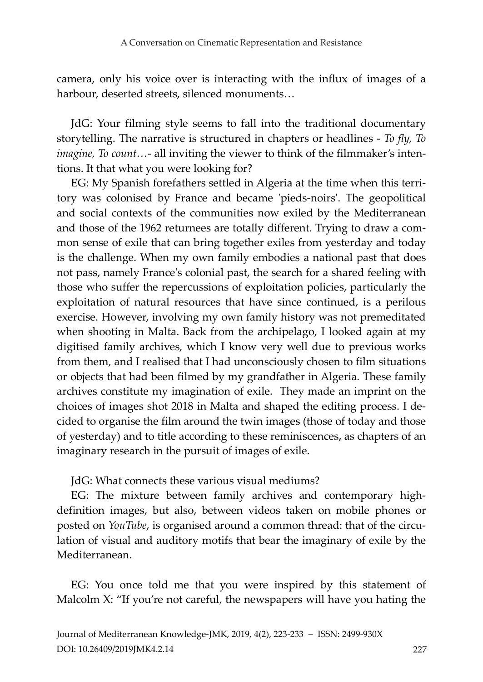camera, only his voice over is interacting with the influx of images of a harbour, deserted streets, silenced monuments…

JdG: Your filming style seems to fall into the traditional documentary storytelling. The narrative is structured in chapters or headlines - *To fly, To imagine, To count…*- all inviting the viewer to think of the filmmaker's intentions. It that what you were looking for?

EG: My Spanish forefathers settled in Algeria at the time when this territory was colonised by France and became 'pieds-noirs'. The geopolitical and social contexts of the communities now exiled by the Mediterranean and those of the 1962 returnees are totally different. Trying to draw a common sense of exile that can bring together exiles from yesterday and today is the challenge. When my own family embodies a national past that does not pass, namely France's colonial past, the search for a shared feeling with those who suffer the repercussions of exploitation policies, particularly the exploitation of natural resources that have since continued, is a perilous exercise. However, involving my own family history was not premeditated when shooting in Malta. Back from the archipelago, I looked again at my digitised family archives, which I know very well due to previous works from them, and I realised that I had unconsciously chosen to film situations or objects that had been filmed by my grandfather in Algeria. These family archives constitute my imagination of exile. They made an imprint on the choices of images shot 2018 in Malta and shaped the editing process. I decided to organise the film around the twin images (those of today and those of yesterday) and to title according to these reminiscences, as chapters of an imaginary research in the pursuit of images of exile.

JdG: What connects these various visual mediums?

EG: The mixture between family archives and contemporary highdefinition images, but also, between videos taken on mobile phones or posted on *YouTube*, is organised around a common thread: that of the circulation of visual and auditory motifs that bear the imaginary of exile by the Mediterranean.

EG: You once told me that you were inspired by this statement of Malcolm X: "If you're not careful, the newspapers will have you hating the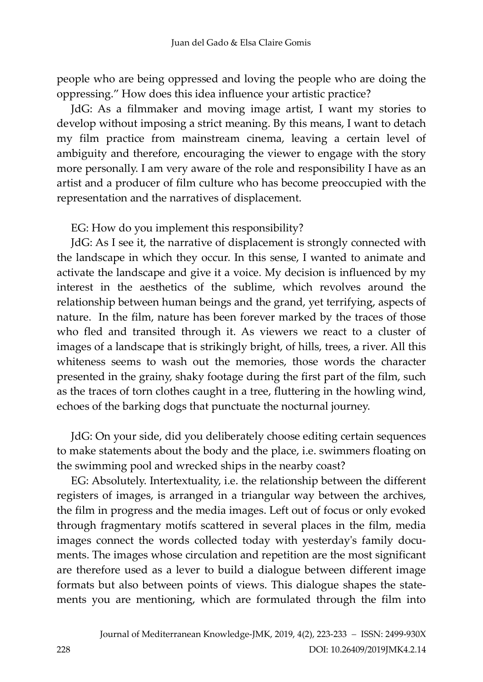people who are being oppressed and loving the people who are doing the oppressing." How does this idea influence your artistic practice?

JdG: As a filmmaker and moving image artist, I want my stories to develop without imposing a strict meaning. By this means, I want to detach my film practice from mainstream cinema, leaving a certain level of ambiguity and therefore, encouraging the viewer to engage with the story more personally. I am very aware of the role and responsibility I have as an artist and a producer of film culture who has become preoccupied with the representation and the narratives of displacement.

EG: How do you implement this responsibility?

JdG: As I see it, the narrative of displacement is strongly connected with the landscape in which they occur. In this sense, I wanted to animate and activate the landscape and give it a voice. My decision is influenced by my interest in the aesthetics of the sublime, which revolves around the relationship between human beings and the grand, yet terrifying, aspects of nature. In the film, nature has been forever marked by the traces of those who fled and transited through it. As viewers we react to a cluster of images of a landscape that is strikingly bright, of hills, trees, a river. All this whiteness seems to wash out the memories, those words the character presented in the grainy, shaky footage during the first part of the film, such as the traces of torn clothes caught in a tree, fluttering in the howling wind, echoes of the barking dogs that punctuate the nocturnal journey.

JdG: On your side, did you deliberately choose editing certain sequences to make statements about the body and the place, i.e. swimmers floating on the swimming pool and wrecked ships in the nearby coast?

EG: Absolutely. Intertextuality, i.e. the relationship between the different registers of images, is arranged in a triangular way between the archives, the film in progress and the media images. Left out of focus or only evoked through fragmentary motifs scattered in several places in the film, media images connect the words collected today with yesterday's family documents. The images whose circulation and repetition are the most significant are therefore used as a lever to build a dialogue between different image formats but also between points of views. This dialogue shapes the statements you are mentioning, which are formulated through the film into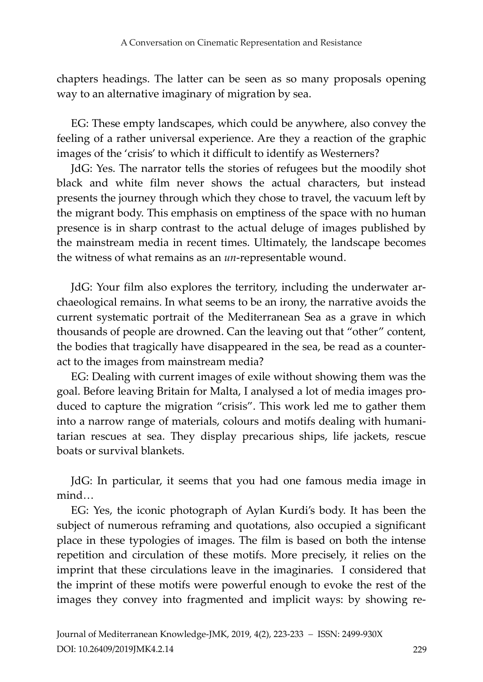chapters headings. The latter can be seen as so many proposals opening way to an alternative imaginary of migration by sea.

EG: These empty landscapes, which could be anywhere, also convey the feeling of a rather universal experience. Are they a reaction of the graphic images of the 'crisis' to which it difficult to identify as Westerners?

JdG: Yes. The narrator tells the stories of refugees but the moodily shot black and white film never shows the actual characters, but instead presents the journey through which they chose to travel, the vacuum left by the migrant body. This emphasis on emptiness of the space with no human presence is in sharp contrast to the actual deluge of images published by the mainstream media in recent times. Ultimately, the landscape becomes the witness of what remains as an *un*-representable wound.

JdG: Your film also explores the territory, including the underwater archaeological remains. In what seems to be an irony, the narrative avoids the current systematic portrait of the Mediterranean Sea as a grave in which thousands of people are drowned. Can the leaving out that "other" content, the bodies that tragically have disappeared in the sea, be read as a counteract to the images from mainstream media?

EG: Dealing with current images of exile without showing them was the goal. Before leaving Britain for Malta, I analysed a lot of media images produced to capture the migration "crisis". This work led me to gather them into a narrow range of materials, colours and motifs dealing with humanitarian rescues at sea. They display precarious ships, life jackets, rescue boats or survival blankets.

JdG: In particular, it seems that you had one famous media image in mind…

EG: Yes, the iconic photograph of Aylan Kurdi's body. It has been the subject of numerous reframing and quotations, also occupied a significant place in these typologies of images. The film is based on both the intense repetition and circulation of these motifs. More precisely, it relies on the imprint that these circulations leave in the imaginaries. I considered that the imprint of these motifs were powerful enough to evoke the rest of the images they convey into fragmented and implicit ways: by showing re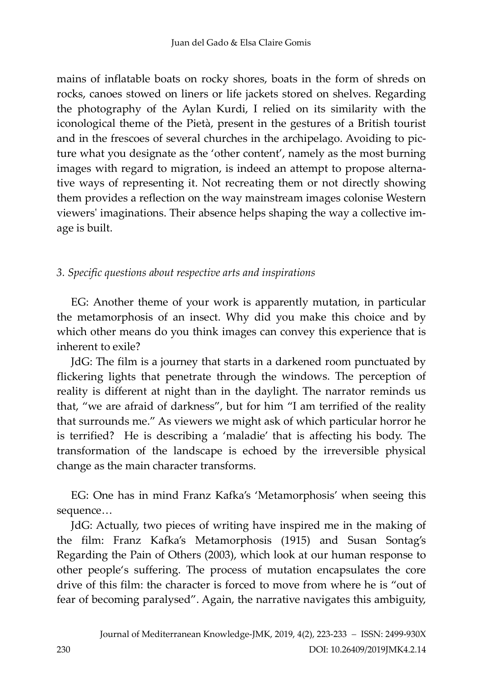mains of inflatable boats on rocky shores, boats in the form of shreds on rocks, canoes stowed on liners or life jackets stored on shelves. Regarding the photography of the Aylan Kurdi, I relied on its similarity with the iconological theme of the Pietà, present in the gestures of a British tourist and in the frescoes of several churches in the archipelago. Avoiding to picture what you designate as the 'other content', namely as the most burning images with regard to migration, is indeed an attempt to propose alternative ways of representing it. Not recreating them or not directly showing them provides a reflection on the way mainstream images colonise Western viewers' imaginations. Their absence helps shaping the way a collective image is built.

### *3. Specific questions about respective arts and inspirations*

EG: Another theme of your work is apparently mutation, in particular the metamorphosis of an insect. Why did you make this choice and by which other means do you think images can convey this experience that is inherent to exile?

JdG: The film is a journey that starts in a darkened room punctuated by flickering lights that penetrate through the windows. The perception of reality is different at night than in the daylight. The narrator reminds us that, "we are afraid of darkness", but for him "I am terrified of the reality that surrounds me." As viewers we might ask of which particular horror he is terrified? He is describing a 'maladie' that is affecting his body. The transformation of the landscape is echoed by the irreversible physical change as the main character transforms.

EG: One has in mind Franz Kafka's 'Metamorphosis' when seeing this sequence…

JdG: Actually, two pieces of writing have inspired me in the making of the film: Franz Kafka's Metamorphosis (1915) and Susan Sontag's Regarding the Pain of Others (2003), which look at our human response to other people's suffering. The process of mutation encapsulates the core drive of this film: the character is forced to move from where he is "out of fear of becoming paralysed". Again, the narrative navigates this ambiguity,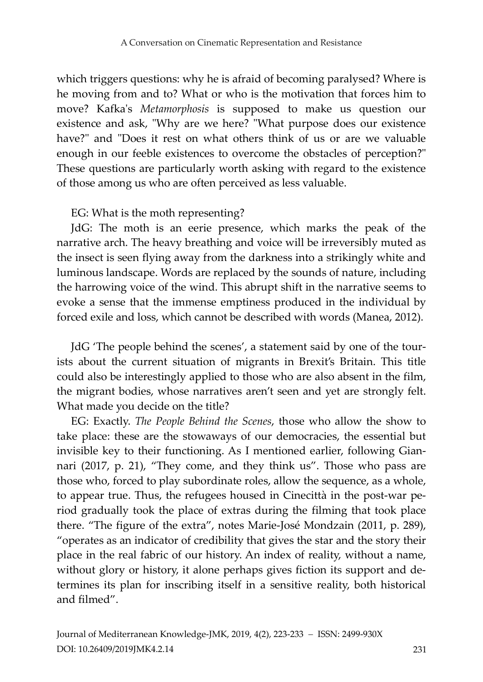which triggers questions: why he is afraid of becoming paralysed? Where is he moving from and to? What or who is the motivation that forces him to move? Kafka's *Metamorphosis* is supposed to make us question our existence and ask, "Why are we here? "What purpose does our existence have?" and "Does it rest on what others think of us or are we valuable enough in our feeble existences to overcome the obstacles of perception?" These questions are particularly worth asking with regard to the existence of those among us who are often perceived as less valuable.

#### EG: What is the moth representing?

JdG: The moth is an eerie presence, which marks the peak of the narrative arch. The heavy breathing and voice will be irreversibly muted as the insect is seen flying away from the darkness into a strikingly white and luminous landscape. Words are replaced by the sounds of nature, including the harrowing voice of the wind. This abrupt shift in the narrative seems to evoke a sense that the immense emptiness produced in the individual by forced exile and loss, which cannot be described with words (Manea, 2012).

JdG 'The people behind the scenes', a statement said by one of the tourists about the current situation of migrants in Brexit's Britain. This title could also be interestingly applied to those who are also absent in the film, the migrant bodies, whose narratives aren't seen and yet are strongly felt. What made you decide on the title?

EG: Exactly. *The People Behind the Scenes*, those who allow the show to take place: these are the stowaways of our democracies, the essential but invisible key to their functioning. As I mentioned earlier, following Giannari (2017, p. 21), "They come, and they think us". Those who pass are those who, forced to play subordinate roles, allow the sequence, as a whole, to appear true. Thus, the refugees housed in Cinecittà in the post-war period gradually took the place of extras during the filming that took place there. "The figure of the extra", notes Marie-José Mondzain (2011, p. 289), "operates as an indicator of credibility that gives the star and the story their place in the real fabric of our history. An index of reality, without a name, without glory or history, it alone perhaps gives fiction its support and determines its plan for inscribing itself in a sensitive reality, both historical and filmed".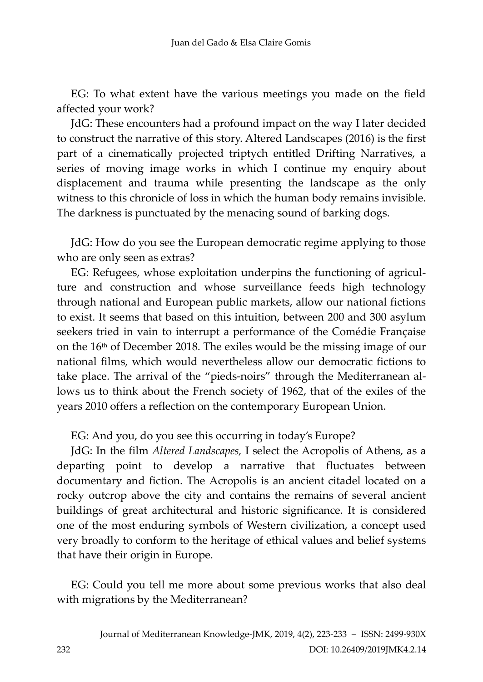EG: To what extent have the various meetings you made on the field affected your work?

JdG: These encounters had a profound impact on the way I later decided to construct the narrative of this story. Altered Landscapes (2016) is the first part of a cinematically projected triptych entitled Drifting Narratives, a series of moving image works in which I continue my enquiry about displacement and trauma while presenting the landscape as the only witness to this chronicle of loss in which the human body remains invisible. The darkness is punctuated by the menacing sound of barking dogs.

JdG: How do you see the European democratic regime applying to those who are only seen as extras?

EG: Refugees, whose exploitation underpins the functioning of agriculture and construction and whose surveillance feeds high technology through national and European public markets, allow our national fictions to exist. It seems that based on this intuition, between 200 and 300 asylum seekers tried in vain to interrupt a performance of the Comédie Française on the 16th of December 2018. The exiles would be the missing image of our national films, which would nevertheless allow our democratic fictions to take place. The arrival of the "pieds-noirs" through the Mediterranean allows us to think about the French society of 1962, that of the exiles of the years 2010 offers a reflection on the contemporary European Union.

EG: And you, do you see this occurring in today's Europe?

JdG: In the film *Altered Landscapes,* I select the Acropolis of Athens, as a departing point to develop a narrative that fluctuates between documentary and fiction. The Acropolis is an ancient citadel located on a rocky outcrop above the city and contains the remains of several [ancient](https://en.wikipedia.org/wiki/Ancient_Greek_architecture)  [buildings](https://en.wikipedia.org/wiki/Ancient_Greek_architecture) of great architectural and historic significance. It is considered one of the most enduring symbols of Western civilization, a concept used very broadly to conform to the heritage of ethical values and belief systems that have their origin in Europe.

EG: Could you tell me more about some previous works that also deal with migrations by the Mediterranean?